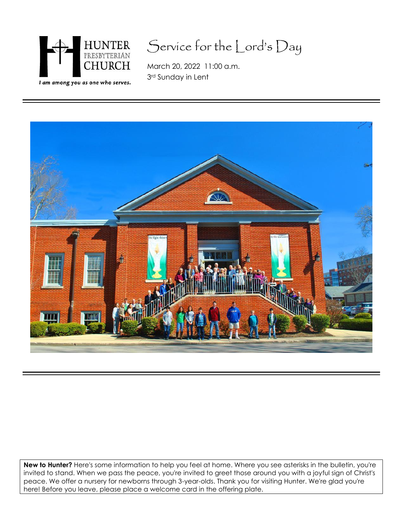

## Service for the Lord's Day

March 20, 2022 11:00 a.m. 3rd Sunday in Lent



**New to Hunter?** Here's some information to help you feel at home. Where you see asterisks in the bulletin, you're invited to stand. When we pass the peace, you're invited to greet those around you with a joyful sign of Christ's peace. We offer a nursery for newborns through 3-year-olds. Thank you for visiting Hunter. We're glad you're here! Before you leave, please place a welcome card in the offering plate.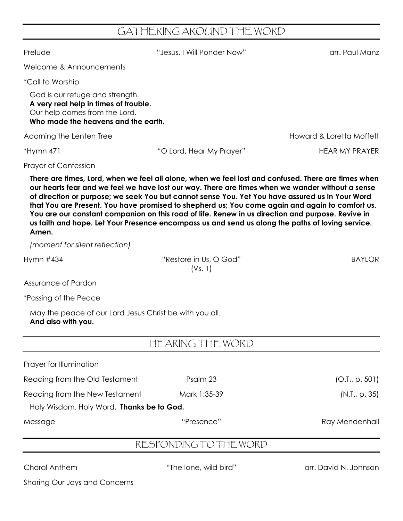## GATHERING AROUND THE WORD

Prelude "Jesus, I Will Ponder Now" arr. Paul Manz Welcome & Announcements \*Call to Worship God is our refuge and strength. **A very real help in times of trouble.** Our help comes from the Lord. **Who made the heavens and the earth.** Adorning the Lenten Tree **Howard & Loretta Moffett** \*Hymn 471 "O Lord, Hear My Prayer" HEAR MY PRAYER Prayer of Confession **There are times, Lord, when we feel all alone, when we feel lost and confused. There are times when our hearts fear and we feel we have lost our way. There are times when we wander without a sense of direction or purpose; we seek You but cannot sense You. Yet You have assured us in Your Word that You are Present. You have promised to shepherd us; You come again and again to comfort us. You are our constant companion on this road of life. Renew in us direction and purpose. Revive in us faith and hope. Let Your Presence encompass us and send us along the paths of loving service. Amen.**

*(moment for silent reflection)*

Hymn #434 **Example 2018** The Music Washington Wilson Cod<sup>"</sup> BAYLOR

| Assurance of Pardon                                                           |                        |                |
|-------------------------------------------------------------------------------|------------------------|----------------|
| *Passing of the Peace                                                         |                        |                |
| May the peace of our Lord Jesus Christ be with you all.<br>And also with you. |                        |                |
|                                                                               | HEARING THE WORD       |                |
| Prayer for Illumination                                                       |                        |                |
| Reading from the Old Testament                                                | Psalm 23               | (O.I., p. 501) |
| Reading from the New Testament                                                | Mark 1:35-39           | (N.I., p. 35)  |
| Holy Wisdom. Holy Word. Thanks be to God.                                     |                        |                |
| Message                                                                       | "Presence"             | Ray Mendenhall |
|                                                                               | RESPONDING TO THE WORD |                |

(Vs. 1)

Choral Anthem "The lone, wild bird" arr. David N. Johnson

Sharing Our Joys and Concerns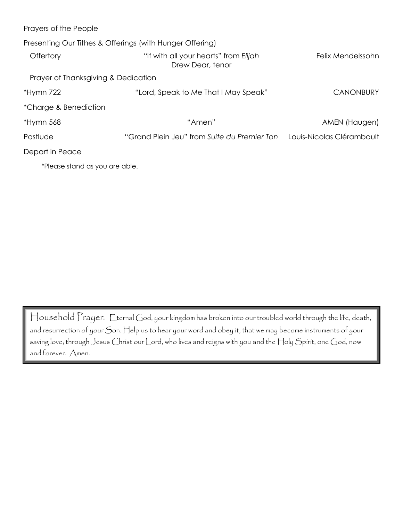| Prayers of the People                                    |                                                           |                           |  |
|----------------------------------------------------------|-----------------------------------------------------------|---------------------------|--|
| Presenting Our Tithes & Offerings (with Hunger Offering) |                                                           |                           |  |
| Offertory                                                | "If with all your hearts" from Elijah<br>Drew Dear, tenor | Felix Mendelssohn         |  |
| Prayer of Thanksgiving & Dedication                      |                                                           |                           |  |
| $*$ Hymn 722                                             | "Lord, Speak to Me That I May Speak"                      | <b>CANONBURY</b>          |  |
| *Charge & Benediction                                    |                                                           |                           |  |
| $*Hymn 568$                                              | "Amen"                                                    | AMEN (Haugen)             |  |
| Postlude                                                 | "Grand Plein Jeu" from Suite du Premier Ton               | Louis-Nicolas Clérambault |  |
| Depart in Peace                                          |                                                           |                           |  |
| *Please stand as you are able.                           |                                                           |                           |  |

Household Prayer: Eternal God, your kingdom has broken into our troubled world through the life, death, and resurrection of your Son. Help us to hear your word and obey it, that we may become instruments of your saving love; through Jesus Christ our Lord, who lives and reigns with you and the Holy Spirit, one God, now and forever. Amen.